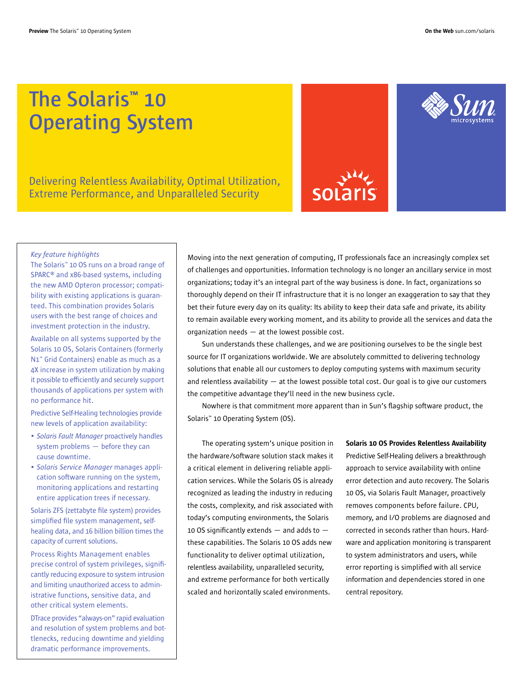# **The Solaris™ 10 Operating System**

Delivering Relentless Availability, Optimal Utilization, Extreme Performance, and Unparalleled Security





### *Key feature highlights*

The Solaris™ 10 OS runs on a broad range of SPARC® and x86-based systems, including the new AMD Opteron processor; compatibility with existing applications is guaranteed. This combination provides Solaris users with the best range of choices and investment protection in the industry.

Available on all systems supported by the Solaris 10 OS, Solaris Containers (formerly N1™ Grid Containers) enable as much as a 4X increase in system utilization by making it possible to efficiently and securely support thousands of applications per system with no performance hit.

Predictive Self-Healing technologies provide new levels of application availability:

- *Solaris Fault Manager* proactively handles system problems — before they can cause downtime.
- *Solaris Service Manager* manages application software running on the system, monitoring applications and restarting entire application trees if necessary.

Solaris ZFS (zettabyte file system) provides simplified file system management, selfhealing data, and 16 billion billion times the capacity of current solutions.

Process Rights Management enables precise control of system privileges, significantly reducing exposure to system intrusion and limiting unauthorized access to administrative functions, sensitive data, and other critical system elements.

DTrace provides "always-on" rapid evaluation and resolution of system problems and bottlenecks, reducing downtime and yielding dramatic performance improvements.

Moving into the next generation of computing, IT professionals face an increasingly complex set of challenges and opportunities. Information technology is no longer an ancillary service in most organizations; today it's an integral part of the way business is done. In fact, organizations so thoroughly depend on their IT infrastructure that it is no longer an exaggeration to say that they bet their future every day on its quality: Its ability to keep their data safe and private, its ability to remain available every working moment, and its ability to provide all the services and data the organization needs — at the lowest possible cost.

Sun understands these challenges, and we are positioning ourselves to be the single best source for IT organizations worldwide. We are absolutely committed to delivering technology solutions that enable all our customers to deploy computing systems with maximum security and relentless availability  $-$  at the lowest possible total cost. Our goal is to give our customers the competitive advantage they'll need in the new business cycle.

Nowhere is that commitment more apparent than in Sun's flagship software product, the Solaris™ 10 Operating System (OS).

The operating system's unique position in the hardware/software solution stack makes it a critical element in delivering reliable application services. While the Solaris OS is already recognized as leading the industry in reducing the costs, complexity, and risk associated with today's computing environments, the Solaris 10 OS significantly extends  $-$  and adds to  $$ these capabilities. The Solaris 10 OS adds new functionality to deliver optimal utilization, relentless availability, unparalleled security, and extreme performance for both vertically scaled and horizontally scaled environments.

Solaris 10 OS Provides Relentless Availability Predictive Self-Healing delivers a breakthrough approach to service availability with online error detection and auto recovery. The Solaris 10 OS, via Solaris Fault Manager, proactively removes components before failure. CPU, memory, and I/O problems are diagnosed and corrected in seconds rather than hours. Hardware and application monitoring is transparent to system administrators and users, while error reporting is simplified with all service information and dependencies stored in one central repository.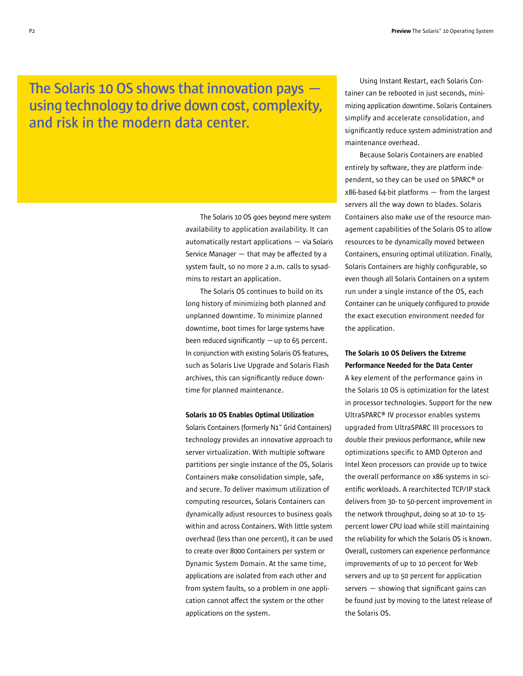## **The Solaris 10 OS shows that innovation pays using technology to drive down cost, complexity, and risk in the modern data center.**

The Solaris 10 OS goes beyond mere system availability to application availability. It can automatically restart applications — via Solaris Service Manager — that may be affected by a system fault, so no more 2 a.m. calls to sysadmins to restart an application.

The Solaris OS continues to build on its long history of minimizing both planned and unplanned downtime. To minimize planned downtime, boot times for large systems have been reduced significantly  $-$ up to 65 percent. In conjunction with existing Solaris OS features, such as Solaris Live Upgrade and Solaris Flash archives, this can significantly reduce downtime for planned maintenance.

### Solaris 10 OS Enables Optimal Utilization

Solaris Containers (formerly N1™ Grid Containers) technology provides an innovative approach to server virtualization. With multiple software partitions per single instance of the OS, Solaris Containers make consolidation simple, safe, and secure. To deliver maximum utilization of computing resources, Solaris Containers can dynamically adjust resources to business goals within and across Containers. With little system overhead (less than one percent), it can be used to create over 8000 Containers per system or Dynamic System Domain. At the same time, applications are isolated from each other and from system faults, so a problem in one application cannot affect the system or the other applications on the system.

Using Instant Restart, each Solaris Container can be rebooted in just seconds, minimizing application downtime. Solaris Containers simplify and accelerate consolidation, and significantly reduce system administration and maintenance overhead.

Because Solaris Containers are enabled entirely by software, they are platform independent, so they can be used on SPARC® or x86-based 64-bit platforms — from the largest servers all the way down to blades. Solaris Containers also make use of the resource management capabilities of the Solaris OS to allow resources to be dynamically moved between Containers, ensuring optimal utilization. Finally, Solaris Containers are highly configurable, so even though all Solaris Containers on a system run under a single instance of the OS, each Container can be uniquely configured to provide the exact execution environment needed for the application.

### The Solaris 10 OS Delivers the Extreme Performance Needed for the Data Center

A key element of the performance gains in the Solaris 10 OS is optimization for the latest in processor technologies. Support for the new UltraSPARC® IV processor enables systems upgraded from UltraSPARC III processors to double their previous performance, while new optimizations specific to AMD Opteron and Intel Xeon processors can provide up to twice the overall performance on x86 systems in scientific workloads. A rearchitected TCP/IP stack delivers from 30- to 50-percent improvement in the network throughput, doing so at 10- to 15 percent lower CPU load while still maintaining the reliability for which the Solaris OS is known. Overall, customers can experience performance improvements of up to 10 percent for Web servers and up to 50 percent for application servers — showing that significant gains can be found just by moving to the latest release of the Solaris OS.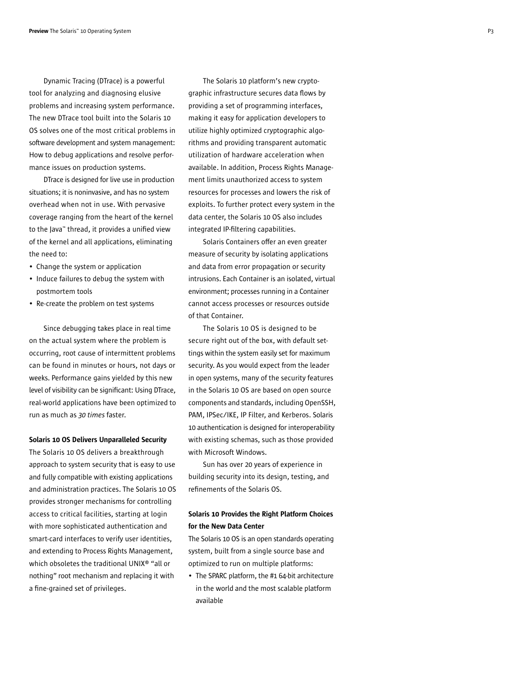Dynamic Tracing (DTrace) is a powerful tool for analyzing and diagnosing elusive problems and increasing system performance. The new DTrace tool built into the Solaris 10 OS solves one of the most critical problems in software development and system management: How to debug applications and resolve performance issues on production systems.

DTrace is designed for live use in production situations; it is noninvasive, and has no system overhead when not in use. With pervasive coverage ranging from the heart of the kernel to the Java™ thread, it provides a unified view of the kernel and all applications, eliminating the need to:

- Change the system or application
- Induce failures to debug the system with postmortem tools
- Re-create the problem on test systems

Since debugging takes place in real time on the actual system where the problem is occurring, root cause of intermittent problems can be found in minutes or hours, not days or weeks. Performance gains yielded by this new level of visibility can be significant: Using DTrace, real-world applications have been optimized to run as much as *30 times* faster.

#### Solaris 10 OS Delivers Unparalleled Security

The Solaris 10 OS delivers a breakthrough approach to system security that is easy to use and fully compatible with existing applications and administration practices. The Solaris 10 OS provides stronger mechanisms for controlling access to critical facilities, starting at login with more sophisticated authentication and smart-card interfaces to verify user identities, and extending to Process Rights Management, which obsoletes the traditional UNIX® "all or nothing" root mechanism and replacing it with a fine-grained set of privileges.

The Solaris 10 platform's new cryptographic infrastructure secures data flows by providing a set of programming interfaces, making it easy for application developers to utilize highly optimized cryptographic algorithms and providing transparent automatic utilization of hardware acceleration when available. In addition, Process Rights Management limits unauthorized access to system resources for processes and lowers the risk of exploits. To further protect every system in the data center, the Solaris 10 OS also includes integrated IP-filtering capabilities.

Solaris Containers offer an even greater measure of security by isolating applications and data from error propagation or security intrusions. Each Container is an isolated, virtual environment; processes running in a Container cannot access processes or resources outside of that Container.

The Solaris 10 OS is designed to be secure right out of the box, with default settings within the system easily set for maximum security. As you would expect from the leader in open systems, many of the security features in the Solaris 10 OS are based on open source components and standards, including OpenSSH, PAM, IPSec/IKE, IP Filter, and Kerberos. Solaris 10 authentication is designed for interoperability with existing schemas, such as those provided with Microsoft Windows.

Sun has over 20 years of experience in building security into its design, testing, and refinements of the Solaris OS.

### Solaris 10 Provides the Right Platform Choices for the New Data Center

The Solaris 10 OS is an open standards operating system, built from a single source base and optimized to run on multiple platforms:

• The SPARC platform, the #1 64-bit architecture in the world and the most scalable platform available